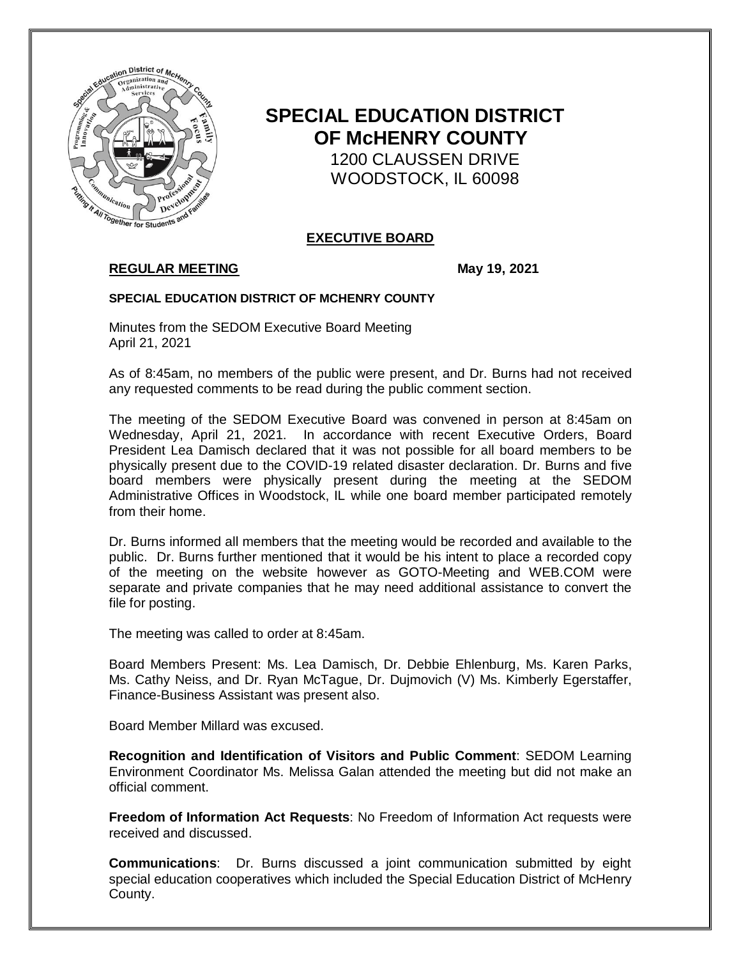

# **SPECIAL EDUCATION DISTRICT OF McHENRY COUNTY**

 1200 CLAUSSEN DRIVE WOODSTOCK, IL 60098

# **EXECUTIVE BOARD**

# **REGULAR MEETING May 19, 2021**

## **SPECIAL EDUCATION DISTRICT OF MCHENRY COUNTY**

Minutes from the SEDOM Executive Board Meeting April 21, 2021

As of 8:45am, no members of the public were present, and Dr. Burns had not received any requested comments to be read during the public comment section.

The meeting of the SEDOM Executive Board was convened in person at 8:45am on Wednesday, April 21, 2021. In accordance with recent Executive Orders, Board President Lea Damisch declared that it was not possible for all board members to be physically present due to the COVID-19 related disaster declaration. Dr. Burns and five board members were physically present during the meeting at the SEDOM Administrative Offices in Woodstock, IL while one board member participated remotely from their home.

Dr. Burns informed all members that the meeting would be recorded and available to the public. Dr. Burns further mentioned that it would be his intent to place a recorded copy of the meeting on the website however as GOTO-Meeting and WEB.COM were separate and private companies that he may need additional assistance to convert the file for posting.

The meeting was called to order at 8:45am.

Board Members Present: Ms. Lea Damisch, Dr. Debbie Ehlenburg, Ms. Karen Parks, Ms. Cathy Neiss, and Dr. Ryan McTague, Dr. Dujmovich (V) Ms. Kimberly Egerstaffer, Finance-Business Assistant was present also.

Board Member Millard was excused.

**Recognition and Identification of Visitors and Public Comment**: SEDOM Learning Environment Coordinator Ms. Melissa Galan attended the meeting but did not make an official comment.

**Freedom of Information Act Requests**: No Freedom of Information Act requests were received and discussed.

**Communications**: Dr. Burns discussed a joint communication submitted by eight special education cooperatives which included the Special Education District of McHenry County.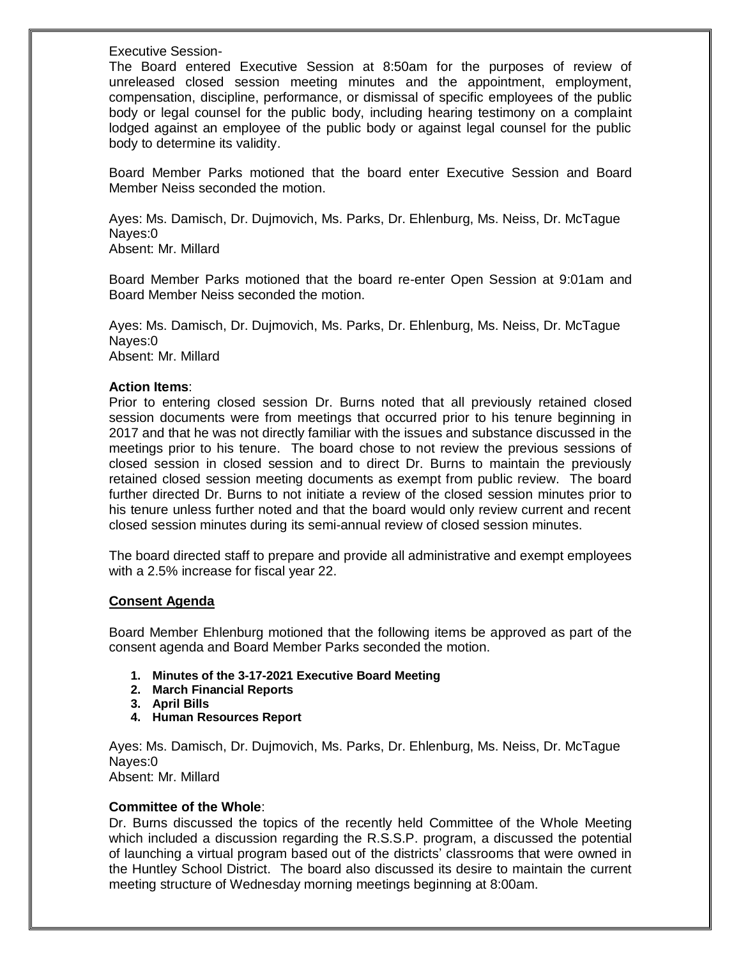Executive Session-

The Board entered Executive Session at 8:50am for the purposes of review of unreleased closed session meeting minutes and the appointment, employment, compensation, discipline, performance, or dismissal of specific employees of the public body or legal counsel for the public body, including hearing testimony on a complaint lodged against an employee of the public body or against legal counsel for the public body to determine its validity.

Board Member Parks motioned that the board enter Executive Session and Board Member Neiss seconded the motion.

Ayes: Ms. Damisch, Dr. Dujmovich, Ms. Parks, Dr. Ehlenburg, Ms. Neiss, Dr. McTague Nayes:0

Absent: Mr. Millard

Board Member Parks motioned that the board re-enter Open Session at 9:01am and Board Member Neiss seconded the motion.

Ayes: Ms. Damisch, Dr. Dujmovich, Ms. Parks, Dr. Ehlenburg, Ms. Neiss, Dr. McTague Nayes:0 Absent: Mr. Millard

## **Action Items**:

Prior to entering closed session Dr. Burns noted that all previously retained closed session documents were from meetings that occurred prior to his tenure beginning in 2017 and that he was not directly familiar with the issues and substance discussed in the meetings prior to his tenure. The board chose to not review the previous sessions of closed session in closed session and to direct Dr. Burns to maintain the previously retained closed session meeting documents as exempt from public review. The board further directed Dr. Burns to not initiate a review of the closed session minutes prior to his tenure unless further noted and that the board would only review current and recent closed session minutes during its semi-annual review of closed session minutes.

The board directed staff to prepare and provide all administrative and exempt employees with a 2.5% increase for fiscal year 22.

## **Consent Agenda**

Board Member Ehlenburg motioned that the following items be approved as part of the consent agenda and Board Member Parks seconded the motion.

- **1. Minutes of the 3-17-2021 Executive Board Meeting**
- **2. March Financial Reports**
- **3. April Bills**
- **4. Human Resources Report**

Ayes: Ms. Damisch, Dr. Dujmovich, Ms. Parks, Dr. Ehlenburg, Ms. Neiss, Dr. McTague Nayes:0 Absent: Mr. Millard

## **Committee of the Whole**:

Dr. Burns discussed the topics of the recently held Committee of the Whole Meeting which included a discussion regarding the R.S.S.P. program, a discussed the potential of launching a virtual program based out of the districts' classrooms that were owned in the Huntley School District. The board also discussed its desire to maintain the current meeting structure of Wednesday morning meetings beginning at 8:00am.